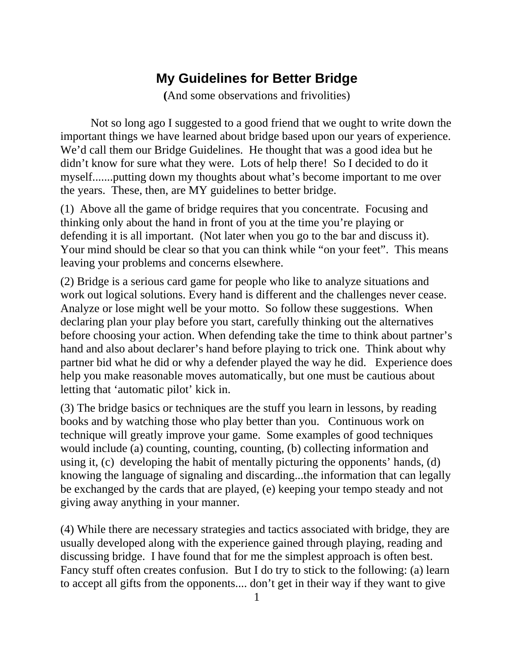## **My Guidelines for Better Bridge**

**(**And some observations and frivolities)

 Not so long ago I suggested to a good friend that we ought to write down the important things we have learned about bridge based upon our years of experience. We'd call them our Bridge Guidelines. He thought that was a good idea but he didn't know for sure what they were. Lots of help there! So I decided to do it myself.......putting down my thoughts about what's become important to me over the years. These, then, are MY guidelines to better bridge.

(1) Above all the game of bridge requires that you concentrate. Focusing and thinking only about the hand in front of you at the time you're playing or defending it is all important. (Not later when you go to the bar and discuss it). Your mind should be clear so that you can think while "on your feet". This means leaving your problems and concerns elsewhere.

(2) Bridge is a serious card game for people who like to analyze situations and work out logical solutions. Every hand is different and the challenges never cease. Analyze or lose might well be your motto. So follow these suggestions. When declaring plan your play before you start, carefully thinking out the alternatives before choosing your action. When defending take the time to think about partner's hand and also about declarer's hand before playing to trick one. Think about why partner bid what he did or why a defender played the way he did. Experience does help you make reasonable moves automatically, but one must be cautious about letting that 'automatic pilot' kick in.

(3) The bridge basics or techniques are the stuff you learn in lessons, by reading books and by watching those who play better than you. Continuous work on technique will greatly improve your game. Some examples of good techniques would include (a) counting, counting, counting, (b) collecting information and using it, (c) developing the habit of mentally picturing the opponents' hands, (d) knowing the language of signaling and discarding...the information that can legally be exchanged by the cards that are played, (e) keeping your tempo steady and not giving away anything in your manner.

(4) While there are necessary strategies and tactics associated with bridge, they are usually developed along with the experience gained through playing, reading and discussing bridge. I have found that for me the simplest approach is often best. Fancy stuff often creates confusion. But I do try to stick to the following: (a) learn to accept all gifts from the opponents.... don't get in their way if they want to give